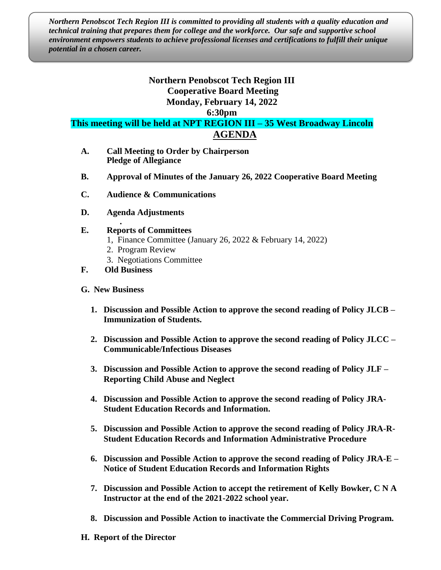*Northern Penobscot Tech Region III is committed to providing all students with a quality education and technical training that prepares them for college and the workforce. Our safe and supportive school environment empowers students to achieve professional licenses and certifications to fulfill their unique potential in a chosen career.*

## **Northern Penobscot Tech Region III Cooperative Board Meeting Monday, February 14, 2022**

**6:30pm**

**This meeting will be held at NPT REGION III – 35 West Broadway Lincoln AGENDA**

- **A. Call Meeting to Order by Chairperson Pledge of Allegiance**
- **B. Approval of Minutes of the January 26, 2022 Cooperative Board Meeting**
- **C. Audience & Communications**
- **D. Agenda Adjustments**
- **. E. Reports of Committees**
	- 1, Finance Committee (January 26, 2022 & February 14, 2022)
	- 2. Program Review
	- 3. Negotiations Committee
- **F. Old Business**
- **G. New Business**
	- **1. Discussion and Possible Action to approve the second reading of Policy JLCB – Immunization of Students.**
	- **2. Discussion and Possible Action to approve the second reading of Policy JLCC – Communicable/Infectious Diseases**
	- **3. Discussion and Possible Action to approve the second reading of Policy JLF – Reporting Child Abuse and Neglect**
	- **4. Discussion and Possible Action to approve the second reading of Policy JRA-Student Education Records and Information.**
	- **5. Discussion and Possible Action to approve the second reading of Policy JRA-R-Student Education Records and Information Administrative Procedure**
	- **6. Discussion and Possible Action to approve the second reading of Policy JRA-E – Notice of Student Education Records and Information Rights**
	- **7. Discussion and Possible Action to accept the retirement of Kelly Bowker, C N A Instructor at the end of the 2021-2022 school year.**
	- **8. Discussion and Possible Action to inactivate the Commercial Driving Program.**
- **H. Report of the Director**